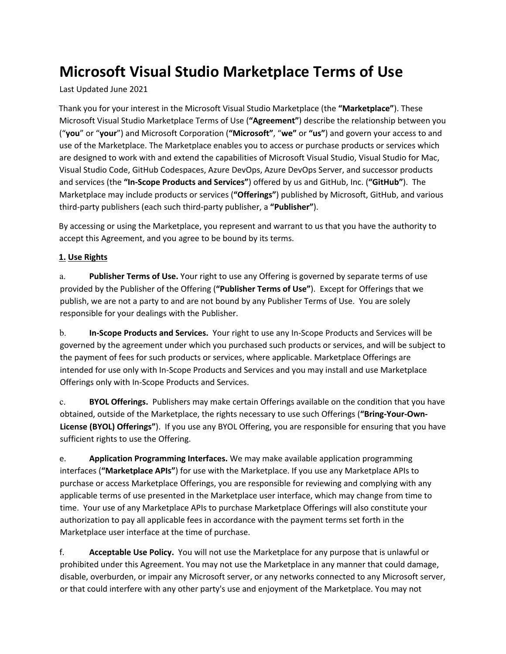# **Microsoft Visual Studio Marketplace Terms of Use**

Last Updated June 2021

Thank you for your interest in the Microsoft Visual Studio Marketplace (the **"Marketplace"**). These Microsoft Visual Studio Marketplace Terms of Use (**"Agreement"**) describe the relationship between you ("**you**" or "**your**") and Microsoft Corporation (**"Microsoft"**, "**we"** or **"us"**) and govern your access to and use of the Marketplace. The Marketplace enables you to access or purchase products or services which are designed to work with and extend the capabilities of Microsoft Visual Studio, Visual Studio for Mac, Visual Studio Code, GitHub Codespaces, Azure DevOps, Azure DevOps Server, and successor products and services (the **"In-Scope Products and Services"**) offered by us and GitHub, Inc. (**"GitHub"**). The Marketplace may include products or services (**"Offerings"**) published by Microsoft, GitHub, and various third-party publishers (each such third-party publisher, a **"Publisher"**).

By accessing or using the Marketplace, you represent and warrant to us that you have the authority to accept this Agreement, and you agree to be bound by its terms.

# **1. Use Rights**

a. **Publisher Terms of Use.** Your right to use any Offering is governed by separate terms of use provided by the Publisher of the Offering (**"Publisher Terms of Use"**). Except for Offerings that we publish, we are not a party to and are not bound by any Publisher Terms of Use. You are solely responsible for your dealings with the Publisher.

b. **In-Scope Products and Services.** Your right to use any In-Scope Products and Services will be governed by the agreement under which you purchased such products or services, and will be subject to the payment of fees for such products or services, where applicable. Marketplace Offerings are intended for use only with In-Scope Products and Services and you may install and use Marketplace Offerings only with In-Scope Products and Services.

c. **BYOL Offerings.** Publishers may make certain Offerings available on the condition that you have obtained, outside of the Marketplace, the rights necessary to use such Offerings (**"Bring-Your-Own-License (BYOL) Offerings"**). If you use any BYOL Offering, you are responsible for ensuring that you have sufficient rights to use the Offering.

e. **Application Programming Interfaces.** We may make available application programming interfaces (**"Marketplace APIs"**) for use with the Marketplace. If you use any Marketplace APIs to purchase or access Marketplace Offerings, you are responsible for reviewing and complying with any applicable terms of use presented in the Marketplace user interface, which may change from time to time. Your use of any Marketplace APIs to purchase Marketplace Offerings will also constitute your authorization to pay all applicable fees in accordance with the payment terms set forth in the Marketplace user interface at the time of purchase.

f. **Acceptable Use Policy.** You will not use the Marketplace for any purpose that is unlawful or prohibited under this Agreement. You may not use the Marketplace in any manner that could damage, disable, overburden, or impair any Microsoft server, or any networks connected to any Microsoft server, or that could interfere with any other party's use and enjoyment of the Marketplace. You may not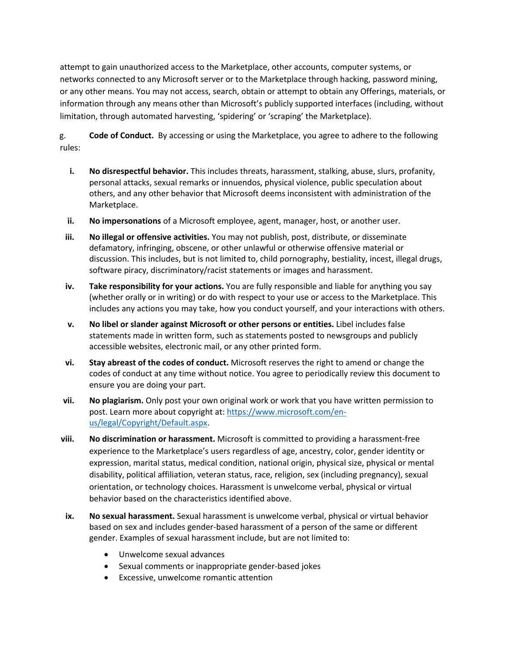attempt to gain unauthorized access to the Marketplace, other accounts, computer systems, or networks connected to any Microsoft server or to the Marketplace through hacking, password mining, or any other means. You may not access, search, obtain or attempt to obtain any Offerings, materials, or information through any means other than Microsoft's publicly supported interfaces (including, without limitation, through automated harvesting, 'spidering' or 'scraping' the Marketplace).

g. **Code of Conduct.** By accessing or using the Marketplace, you agree to adhere to the following rules:

- **i. No disrespectful behavior.** This includes threats, harassment, stalking, abuse, slurs, profanity, personal attacks, sexual remarks or innuendos, physical violence, public speculation about others, and any other behavior that Microsoft deems inconsistent with administration of the Marketplace.
- **ii. No impersonations** of a Microsoft employee, agent, manager, host, or another user.
- **iii. No illegal or offensive activities.** You may not publish, post, distribute, or disseminate defamatory, infringing, obscene, or other unlawful or otherwise offensive material or discussion. This includes, but is not limited to, child pornography, bestiality, incest, illegal drugs, software piracy, discriminatory/racist statements or images and harassment.
- **iv. Take responsibility for your actions.** You are fully responsible and liable for anything you say (whether orally or in writing) or do with respect to your use or access to the Marketplace. This includes any actions you may take, how you conduct yourself, and your interactions with others.
- **v. No libel or slander against Microsoft or other persons or entities.** Libel includes false statements made in written form, such as statements posted to newsgroups and publicly accessible websites, electronic mail, or any other printed form.
- **vi. Stay abreast of the codes of conduct.** Microsoft reserves the right to amend or change the codes of conduct at any time without notice. You agree to periodically review this document to ensure you are doing your part.
- **vii. No plagiarism.** Only post your own original work or work that you have written permission to post. Learn more about copyright at: https://www.microsoft.com/enus/legal/Copyright/Default.aspx.
- **viii. No discrimination or harassment.** Microsoft is committed to providing a harassment-free experience to the Marketplace's users regardless of age, ancestry, color, gender identity or expression, marital status, medical condition, national origin, physical size, physical or mental disability, political affiliation, veteran status, race, religion, sex (including pregnancy), sexual orientation, or technology choices. Harassment is unwelcome verbal, physical or virtual behavior based on the characteristics identified above.
- **ix. No sexual harassment.** Sexual harassment is unwelcome verbal, physical or virtual behavior based on sex and includes gender-based harassment of a person of the same or different gender. Examples of sexual harassment include, but are not limited to:
	- Unwelcome sexual advances
	- Sexual comments or inappropriate gender-based jokes
	- Excessive, unwelcome romantic attention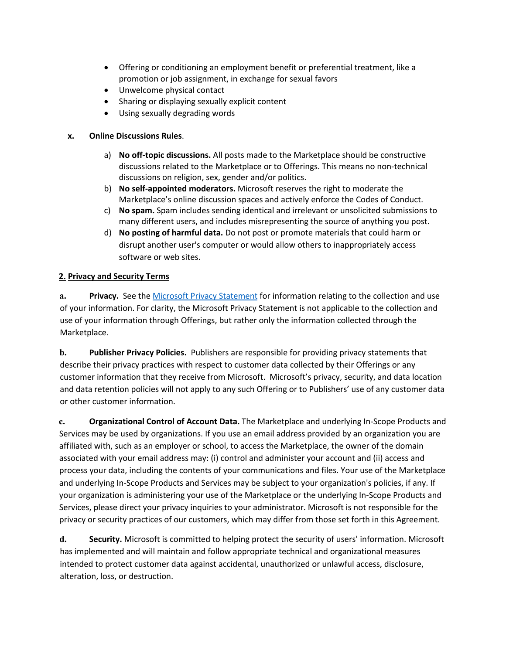- Offering or conditioning an employment benefit or preferential treatment, like a promotion or job assignment, in exchange for sexual favors
- Unwelcome physical contact
- Sharing or displaying sexually explicit content
- Using sexually degrading words

# **x. Online Discussions Rules**.

- a) **No off-topic discussions.** All posts made to the Marketplace should be constructive discussions related to the Marketplace or to Offerings. This means no non-technical discussions on religion, sex, gender and/or politics.
- b) **No self-appointed moderators.** Microsoft reserves the right to moderate the Marketplace's online discussion spaces and actively enforce the Codes of Conduct.
- c) **No spam.** Spam includes sending identical and irrelevant or unsolicited submissions to many different users, and includes misrepresenting the source of anything you post.
- d) **No posting of harmful data.** Do not post or promote materials that could harm or disrupt another user's computer or would allow others to inappropriately access software or web sites.

# **2. Privacy and Security Terms**

**a. Privacy.** See the Microsoft Privacy Statement for information relating to the collection and use of your information. For clarity, the Microsoft Privacy Statement is not applicable to the collection and use of your information through Offerings, but rather only the information collected through the Marketplace.

**b. Publisher Privacy Policies.** Publishers are responsible for providing privacy statements that describe their privacy practices with respect to customer data collected by their Offerings or any customer information that they receive from Microsoft. Microsoft's privacy, security, and data location and data retention policies will not apply to any such Offering or to Publishers' use of any customer data or other customer information.

**c. Organizational Control of Account Data.** The Marketplace and underlying In-Scope Products and Services may be used by organizations. If you use an email address provided by an organization you are affiliated with, such as an employer or school, to access the Marketplace, the owner of the domain associated with your email address may: (i) control and administer your account and (ii) access and process your data, including the contents of your communications and files. Your use of the Marketplace and underlying In-Scope Products and Services may be subject to your organization's policies, if any. If your organization is administering your use of the Marketplace or the underlying In-Scope Products and Services, please direct your privacy inquiries to your administrator. Microsoft is not responsible for the privacy or security practices of our customers, which may differ from those set forth in this Agreement.

**d. Security.** Microsoft is committed to helping protect the security of users' information. Microsoft has implemented and will maintain and follow appropriate technical and organizational measures intended to protect customer data against accidental, unauthorized or unlawful access, disclosure, alteration, loss, or destruction.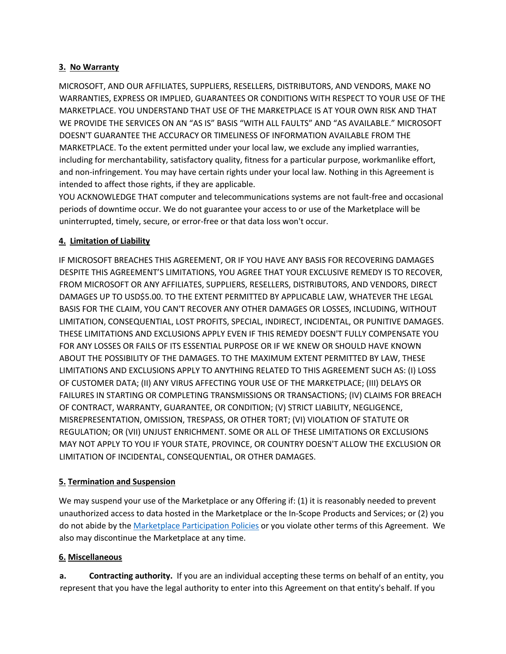# **3. No Warranty**

MICROSOFT, AND OUR AFFILIATES, SUPPLIERS, RESELLERS, DISTRIBUTORS, AND VENDORS, MAKE NO WARRANTIES, EXPRESS OR IMPLIED, GUARANTEES OR CONDITIONS WITH RESPECT TO YOUR USE OF THE MARKETPLACE. YOU UNDERSTAND THAT USE OF THE MARKETPLACE IS AT YOUR OWN RISK AND THAT WE PROVIDE THE SERVICES ON AN "AS IS" BASIS "WITH ALL FAULTS" AND "AS AVAILABLE." MICROSOFT DOESN'T GUARANTEE THE ACCURACY OR TIMELINESS OF INFORMATION AVAILABLE FROM THE MARKETPLACE. To the extent permitted under your local law, we exclude any implied warranties, including for merchantability, satisfactory quality, fitness for a particular purpose, workmanlike effort, and non-infringement. You may have certain rights under your local law. Nothing in this Agreement is intended to affect those rights, if they are applicable.

YOU ACKNOWLEDGE THAT computer and telecommunications systems are not fault-free and occasional periods of downtime occur. We do not guarantee your access to or use of the Marketplace will be uninterrupted, timely, secure, or error-free or that data loss won't occur.

# **4. Limitation of Liability**

IF MICROSOFT BREACHES THIS AGREEMENT, OR IF YOU HAVE ANY BASIS FOR RECOVERING DAMAGES DESPITE THIS AGREEMENT'S LIMITATIONS, YOU AGREE THAT YOUR EXCLUSIVE REMEDY IS TO RECOVER, FROM MICROSOFT OR ANY AFFILIATES, SUPPLIERS, RESELLERS, DISTRIBUTORS, AND VENDORS, DIRECT DAMAGES UP TO USD\$5.00. TO THE EXTENT PERMITTED BY APPLICABLE LAW, WHATEVER THE LEGAL BASIS FOR THE CLAIM, YOU CAN'T RECOVER ANY OTHER DAMAGES OR LOSSES, INCLUDING, WITHOUT LIMITATION, CONSEQUENTIAL, LOST PROFITS, SPECIAL, INDIRECT, INCIDENTAL, OR PUNITIVE DAMAGES. THESE LIMITATIONS AND EXCLUSIONS APPLY EVEN IF THIS REMEDY DOESN'T FULLY COMPENSATE YOU FOR ANY LOSSES OR FAILS OF ITS ESSENTIAL PURPOSE OR IF WE KNEW OR SHOULD HAVE KNOWN ABOUT THE POSSIBILITY OF THE DAMAGES. TO THE MAXIMUM EXTENT PERMITTED BY LAW, THESE LIMITATIONS AND EXCLUSIONS APPLY TO ANYTHING RELATED TO THIS AGREEMENT SUCH AS: (I) LOSS OF CUSTOMER DATA; (II) ANY VIRUS AFFECTING YOUR USE OF THE MARKETPLACE; (III) DELAYS OR FAILURES IN STARTING OR COMPLETING TRANSMISSIONS OR TRANSACTIONS; (IV) CLAIMS FOR BREACH OF CONTRACT, WARRANTY, GUARANTEE, OR CONDITION; (V) STRICT LIABILITY, NEGLIGENCE, MISREPRESENTATION, OMISSION, TRESPASS, OR OTHER TORT; (VI) VIOLATION OF STATUTE OR REGULATION; OR (VII) UNJUST ENRICHMENT. SOME OR ALL OF THESE LIMITATIONS OR EXCLUSIONS MAY NOT APPLY TO YOU IF YOUR STATE, PROVINCE, OR COUNTRY DOESN'T ALLOW THE EXCLUSION OR LIMITATION OF INCIDENTAL, CONSEQUENTIAL, OR OTHER DAMAGES.

# **5. Termination and Suspension**

We may suspend your use of the Marketplace or any Offering if: (1) it is reasonably needed to prevent unauthorized access to data hosted in the Marketplace or the In-Scope Products and Services; or (2) you do not abide by the Marketplace Participation Policies or you violate other terms of this Agreement. We also may discontinue the Marketplace at any time.

# **6. Miscellaneous**

**a. Contracting authority.** If you are an individual accepting these terms on behalf of an entity, you represent that you have the legal authority to enter into this Agreement on that entity's behalf. If you